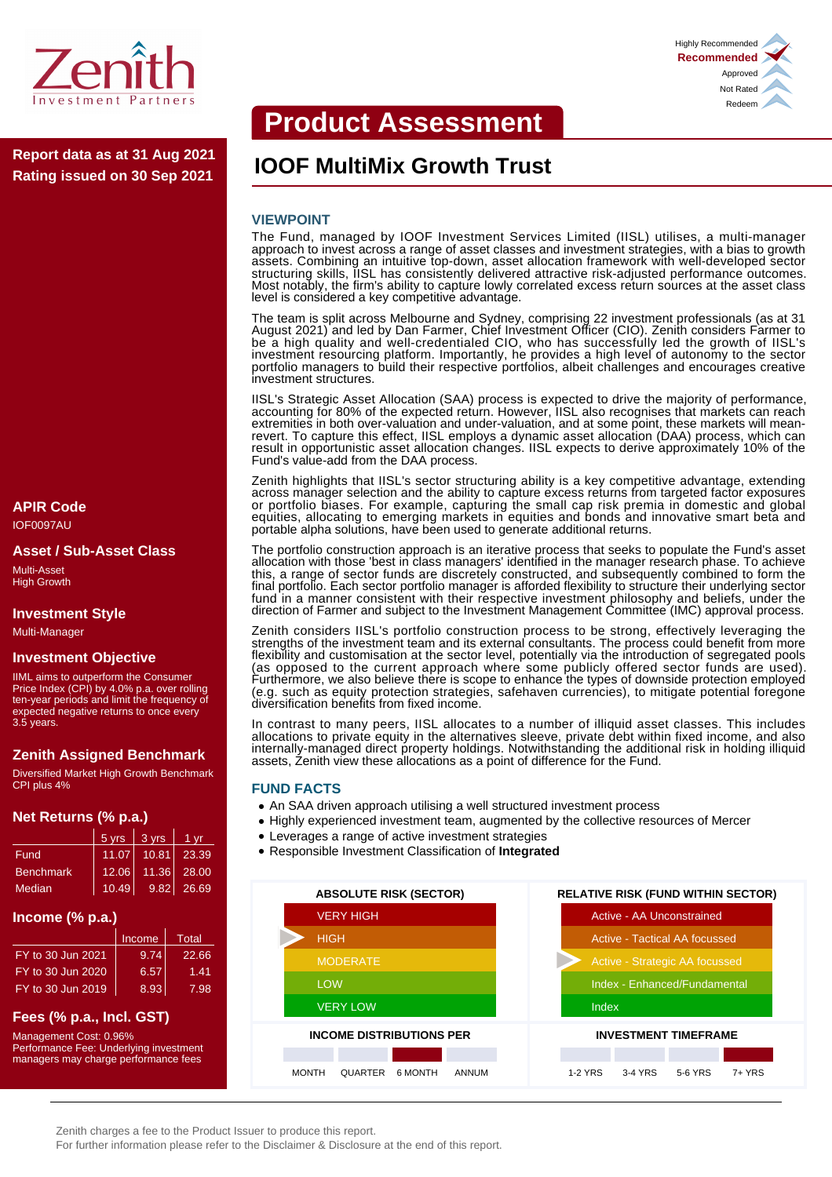

**Rating issued on 30 Sep 2021**

# **APIR Code**

IOF0097AU

#### **Asset / Sub-Asset Class**

Multi-Asset High Growth

#### **Investment Style**

Multi-Manager

#### **Investment Objective**

IIML aims to outperform the Consumer Price Index (CPI) by 4.0% p.a. over rolling ten-year periods and limit the frequency of expected negative returns to once every 3.5 years.

# **Zenith Assigned Benchmark**

Diversified Market High Growth Benchmark CPI plus 4%

#### **Net Returns (% p.a.)**

|                  | $5 \text{ yrs}$ | 3 yrs | 1 vr           |
|------------------|-----------------|-------|----------------|
| Fund             | 11.07           | 10.81 | 23.39          |
| <b>Benchmark</b> | 12.06           | 11.36 | 28.00          |
| Median           | 10.49           |       | $9.82$   26.69 |

#### **Income (% p.a.)**

|                   | Income | Total |
|-------------------|--------|-------|
| FY to 30 Jun 2021 | 9.74   | 22.66 |
| FY to 30 Jun 2020 | 6.57   | 1.41  |
| FY to 30 Jun 2019 | 8.93   | 7.98  |

# **Fees (% p.a., Incl. GST)**

Management Cost: 0.96% Performance Fee: Underlying investment managers may charge performance fees

# **Product Assessment**



# **IOOF MultiMix Growth Trust Report data as at 31 Aug 2021**

#### **VIEWPOINT**

The Fund, managed by IOOF Investment Services Limited (IISL) utilises, a multi-manager approach to invest across a range of asset classes and investment strategies, with a bias to growth assets. Combining an intuitive top-down, asset allocation framework with well-developed sector structuring skills, IISL has consistently delivered attractive risk-adjusted performance outcomes. Most notably, the firm's ability to capture lowly correlated excess return sources at the asset class level is considered a key competitive advantage.

The team is split across Melbourne and Sydney, comprising 22 investment professionals (as at 31 August 2021) and led by Dan Farmer, Chief Investment Officer (CIO). Zenith considers Farmer to be a high quality and well-credentialed CIO, who has successfully led the growth of IISL's investment resourcing platform. Importantly, he provides a high level of autonomy to the sector portfolio managers to build their respective portfolios, albeit challenges and encourages creative investment structures.

IISL's Strategic Asset Allocation (SAA) process is expected to drive the majority of performance, accounting for 80% of the expected return. However, IISL also recognises that markets can reach extremities in both over-valuation and under-valuation, and at some point, these markets will meanrevert. To capture this effect, IISL employs a dynamic asset allocation (DAA) process, which can result in opportunistic asset allocation changes. IISL expects to derive approximately 10% of the Fund's value-add from the DAA process.

Zenith highlights that IISL's sector structuring ability is a key competitive advantage, extending across manager selection and the ability to capture excess returns from targeted factor exposures or portfolio biases. For example, capturing the small cap risk premia in domestic and global equities, allocating to emerging markets in equities and bonds and innovative smart beta and portable alpha solutions, have been used to generate additional returns.

The portfolio construction approach is an iterative process that seeks to populate the Fund's asset allocation with those 'best in class managers' identified in the manager research phase. To achieve this, a range of sector funds are discretely constructed, and subsequently combined to form the final portfolio. Each sector portfolio manager is afforded flexibility to structure their underlying sector fund in a manner consistent with their respective investment philosophy and beliefs, under the direction of Farmer and subject to the Investment Management Committee (IMC) approval process.

Zenith considers IISL's portfolio construction process to be strong, effectively leveraging the strengths of the investment team and its external consultants. The process could benefit from more flexibility and customisation at the sector level, potentially via the introduction of segregated pools (as opposed to the current approach where some publicly offered sector funds are used). Furthermore, we also believe there is scope to enhance the types of downside protection employed (e.g. such as equity protection strategies, safehaven currencies), to mitigate potential foregone diversification benefits from fixed income.

In contrast to many peers, IISL allocates to a number of illiquid asset classes. This includes allocations to private equity in the alternatives sleeve, private debt within fixed income, and also internally-managed direct property holdings. Notwithstanding the additional risk in holding illiquid assets, Zenith view these allocations as a point of difference for the Fund.

#### **FUND FACTS**

- An SAA driven approach utilising a well structured investment process
- Highly experienced investment team, augmented by the collective resources of Mercer
- Leverages a range of active investment strategies
- Responsible Investment Classification of **Integrated**



Zenith charges a fee to the Product Issuer to produce this report.

For further information please refer to the Disclaimer & Disclosure at the end of this report.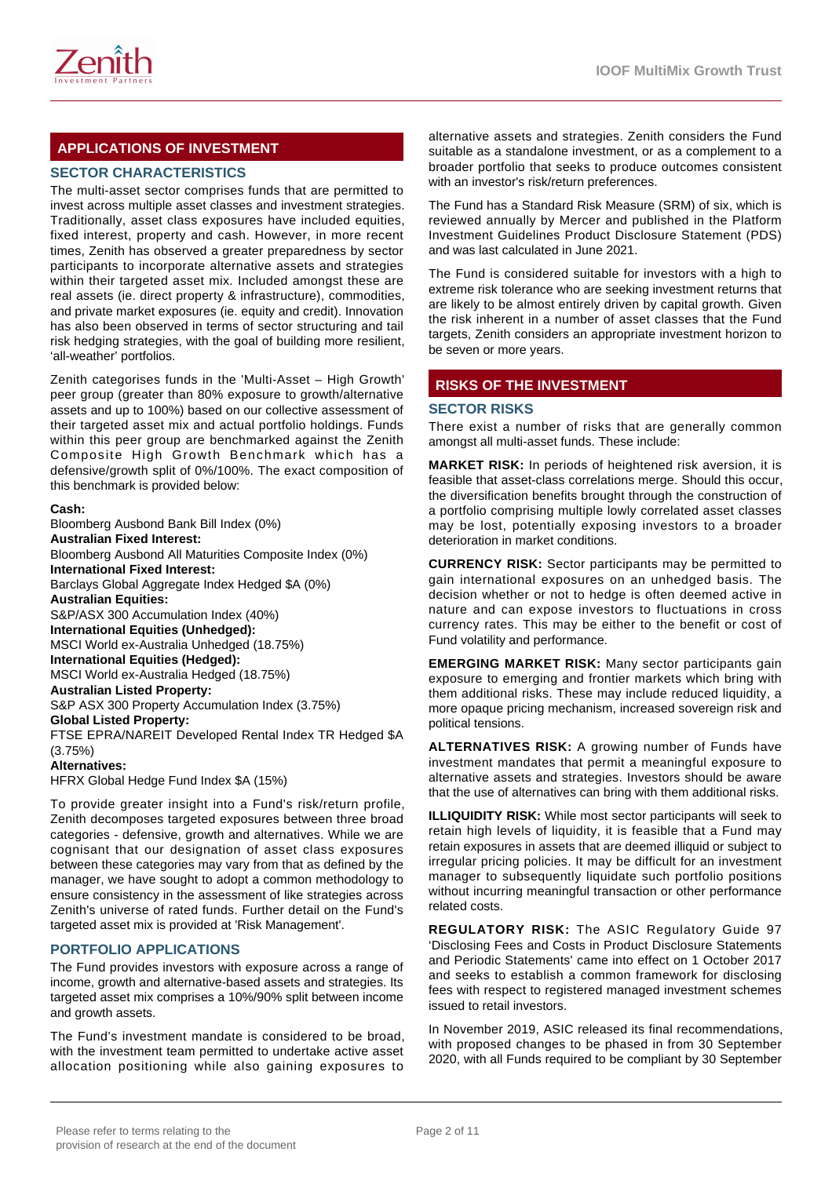

# **APPLICATIONS OF INVESTMENT**

# **SECTOR CHARACTERISTICS**

The multi-asset sector comprises funds that are permitted to invest across multiple asset classes and investment strategies. Traditionally, asset class exposures have included equities, fixed interest, property and cash. However, in more recent times, Zenith has observed a greater preparedness by sector participants to incorporate alternative assets and strategies within their targeted asset mix. Included amongst these are real assets (ie. direct property & infrastructure), commodities, and private market exposures (ie. equity and credit). Innovation has also been observed in terms of sector structuring and tail risk hedging strategies, with the goal of building more resilient, 'all-weather' portfolios.

Zenith categorises funds in the 'Multi-Asset – High Growth' peer group (greater than 80% exposure to growth/alternative assets and up to 100%) based on our collective assessment of their targeted asset mix and actual portfolio holdings. Funds within this peer group are benchmarked against the Zenith Composite High Growth Benchmark which has a defensive/growth split of 0%/100%. The exact composition of this benchmark is provided below:

#### **Cash:**

Bloomberg Ausbond Bank Bill Index (0%) **Australian Fixed Interest:** Bloomberg Ausbond All Maturities Composite Index (0%) **International Fixed Interest:** Barclays Global Aggregate Index Hedged \$A (0%) **Australian Equities:** S&P/ASX 300 Accumulation Index (40%) **International Equities (Unhedged):** MSCI World ex-Australia Unhedged (18.75%) **International Equities (Hedged):** MSCI World ex-Australia Hedged (18.75%) **Australian Listed Property:** S&P ASX 300 Property Accumulation Index (3.75%) **Global Listed Property:** FTSE EPRA/NAREIT Developed Rental Index TR Hedged \$A (3.75%) **Alternatives:** HFRX Global Hedge Fund Index \$A (15%)

To provide greater insight into a Fund's risk/return profile, Zenith decomposes targeted exposures between three broad categories - defensive, growth and alternatives. While we are cognisant that our designation of asset class exposures between these categories may vary from that as defined by the manager, we have sought to adopt a common methodology to ensure consistency in the assessment of like strategies across Zenith's universe of rated funds. Further detail on the Fund's targeted asset mix is provided at 'Risk Management'.

#### **PORTFOLIO APPLICATIONS**

The Fund provides investors with exposure across a range of income, growth and alternative-based assets and strategies. Its targeted asset mix comprises a 10%/90% split between income and growth assets.

The Fund's investment mandate is considered to be broad, with the investment team permitted to undertake active asset allocation positioning while also gaining exposures to

alternative assets and strategies. Zenith considers the Fund suitable as a standalone investment, or as a complement to a broader portfolio that seeks to produce outcomes consistent with an investor's risk/return preferences.

The Fund has a Standard Risk Measure (SRM) of six, which is reviewed annually by Mercer and published in the Platform Investment Guidelines Product Disclosure Statement (PDS) and was last calculated in June 2021.

The Fund is considered suitable for investors with a high to extreme risk tolerance who are seeking investment returns that are likely to be almost entirely driven by capital growth. Given the risk inherent in a number of asset classes that the Fund targets, Zenith considers an appropriate investment horizon to be seven or more years.

# **RISKS OF THE INVESTMENT**

#### **SECTOR RISKS**

There exist a number of risks that are generally common amongst all multi-asset funds. These include:

**MARKET RISK:** In periods of heightened risk aversion, it is feasible that asset-class correlations merge. Should this occur, the diversification benefits brought through the construction of a portfolio comprising multiple lowly correlated asset classes may be lost, potentially exposing investors to a broader deterioration in market conditions.

**CURRENCY RISK:** Sector participants may be permitted to gain international exposures on an unhedged basis. The decision whether or not to hedge is often deemed active in nature and can expose investors to fluctuations in cross currency rates. This may be either to the benefit or cost of Fund volatility and performance.

**EMERGING MARKET RISK:** Many sector participants gain exposure to emerging and frontier markets which bring with them additional risks. These may include reduced liquidity, a more opaque pricing mechanism, increased sovereign risk and political tensions.

**ALTERNATIVES RISK:** A growing number of Funds have investment mandates that permit a meaningful exposure to alternative assets and strategies. Investors should be aware that the use of alternatives can bring with them additional risks.

**ILLIQUIDITY RISK:** While most sector participants will seek to retain high levels of liquidity, it is feasible that a Fund may retain exposures in assets that are deemed illiquid or subject to irregular pricing policies. It may be difficult for an investment manager to subsequently liquidate such portfolio positions without incurring meaningful transaction or other performance related costs.

**REGULATORY RISK:** The ASIC Regulatory Guide 97 'Disclosing Fees and Costs in Product Disclosure Statements and Periodic Statements' came into effect on 1 October 2017 and seeks to establish a common framework for disclosing fees with respect to registered managed investment schemes issued to retail investors.

In November 2019, ASIC released its final recommendations, with proposed changes to be phased in from 30 September 2020, with all Funds required to be compliant by 30 September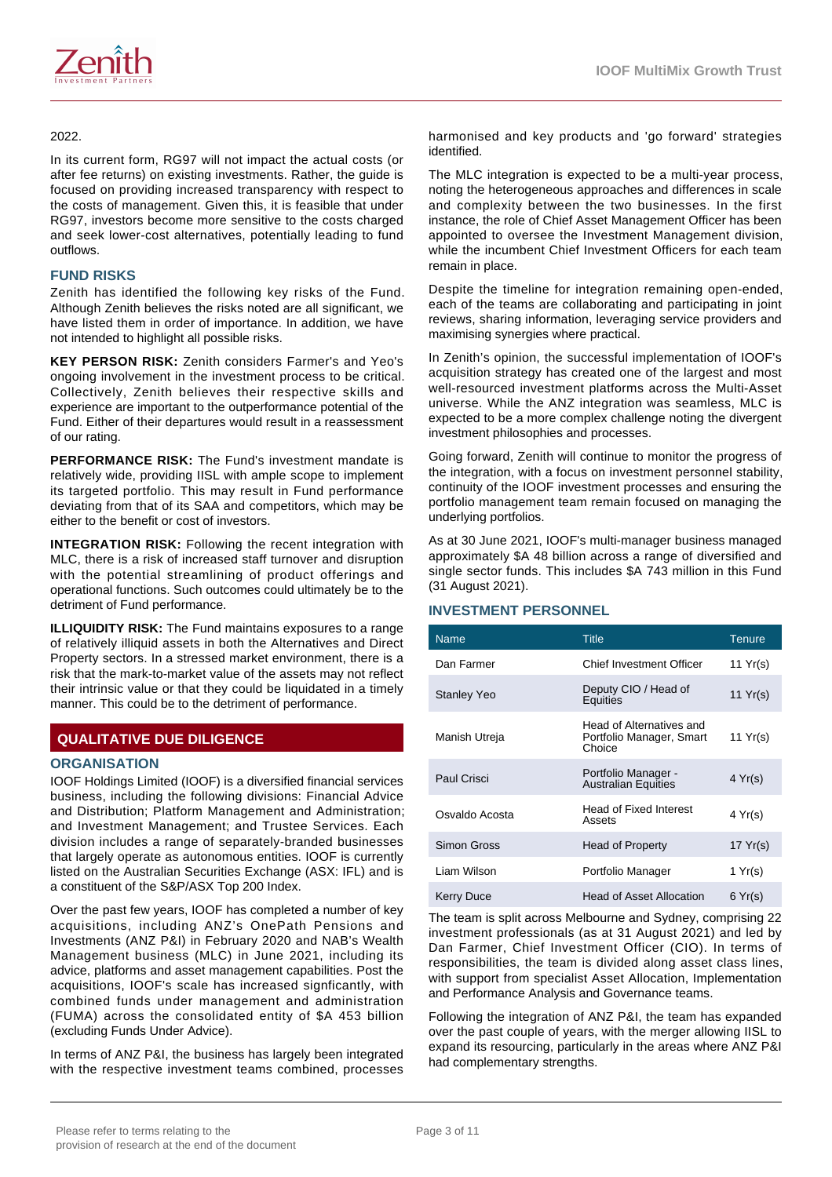

#### 2022.

In its current form, RG97 will not impact the actual costs (or after fee returns) on existing investments. Rather, the guide is focused on providing increased transparency with respect to the costs of management. Given this, it is feasible that under RG97, investors become more sensitive to the costs charged and seek lower-cost alternatives, potentially leading to fund outflows.

## **FUND RISKS**

Zenith has identified the following key risks of the Fund. Although Zenith believes the risks noted are all significant, we have listed them in order of importance. In addition, we have not intended to highlight all possible risks.

**KEY PERSON RISK:** Zenith considers Farmer's and Yeo's ongoing involvement in the investment process to be critical. Collectively, Zenith believes their respective skills and experience are important to the outperformance potential of the Fund. Either of their departures would result in a reassessment of our rating.

**PERFORMANCE RISK:** The Fund's investment mandate is relatively wide, providing IISL with ample scope to implement its targeted portfolio. This may result in Fund performance deviating from that of its SAA and competitors, which may be either to the benefit or cost of investors.

**INTEGRATION RISK:** Following the recent integration with MLC, there is a risk of increased staff turnover and disruption with the potential streamlining of product offerings and operational functions. Such outcomes could ultimately be to the detriment of Fund performance.

**ILLIQUIDITY RISK:** The Fund maintains exposures to a range of relatively illiquid assets in both the Alternatives and Direct Property sectors. In a stressed market environment, there is a risk that the mark-to-market value of the assets may not reflect their intrinsic value or that they could be liquidated in a timely manner. This could be to the detriment of performance.

# **QUALITATIVE DUE DILIGENCE**

#### **ORGANISATION**

IOOF Holdings Limited (IOOF) is a diversified financial services business, including the following divisions: Financial Advice and Distribution; Platform Management and Administration; and Investment Management; and Trustee Services. Each division includes a range of separately-branded businesses that largely operate as autonomous entities. IOOF is currently listed on the Australian Securities Exchange (ASX: IFL) and is a constituent of the S&P/ASX Top 200 Index.

Over the past few years, IOOF has completed a number of key acquisitions, including ANZ's OnePath Pensions and Investments (ANZ P&I) in February 2020 and NAB's Wealth Management business (MLC) in June 2021, including its advice, platforms and asset management capabilities. Post the acquisitions, IOOF's scale has increased signficantly, with combined funds under management and administration (FUMA) across the consolidated entity of \$A 453 billion (excluding Funds Under Advice).

In terms of ANZ P&I, the business has largely been integrated with the respective investment teams combined, processes harmonised and key products and 'go forward' strategies identified.

The MLC integration is expected to be a multi-year process, noting the heterogeneous approaches and differences in scale and complexity between the two businesses. In the first instance, the role of Chief Asset Management Officer has been appointed to oversee the Investment Management division, while the incumbent Chief Investment Officers for each team remain in place.

Despite the timeline for integration remaining open-ended, each of the teams are collaborating and participating in joint reviews, sharing information, leveraging service providers and maximising synergies where practical.

In Zenith's opinion, the successful implementation of IOOF's acquisition strategy has created one of the largest and most well-resourced investment platforms across the Multi-Asset universe. While the ANZ integration was seamless, MLC is expected to be a more complex challenge noting the divergent investment philosophies and processes.

Going forward, Zenith will continue to monitor the progress of the integration, with a focus on investment personnel stability, continuity of the IOOF investment processes and ensuring the portfolio management team remain focused on managing the underlying portfolios.

As at 30 June 2021, IOOF's multi-manager business managed approximately \$A 48 billion across a range of diversified and single sector funds. This includes \$A 743 million in this Fund (31 August 2021).

#### **INVESTMENT PERSONNEL**

| <b>Name</b>        | <b>Title</b>                                                   | Tenure           |
|--------------------|----------------------------------------------------------------|------------------|
| Dan Farmer         | Chief Investment Officer                                       | 11 $Yr(s)$       |
| <b>Stanley Yeo</b> | Deputy CIO / Head of<br>Equities                               | 11 $Yr(s)$       |
| Manish Utreja      | Head of Alternatives and<br>Portfolio Manager, Smart<br>Choice | 11 $Yr(s)$       |
| Paul Crisci        | Portfolio Manager -<br><b>Australian Equities</b>              | $4 \text{Yr(s)}$ |
| Osvaldo Acosta     | <b>Head of Fixed Interest</b><br>Assets                        | 4 Yr(s)          |
| Simon Gross        | <b>Head of Property</b>                                        | 17 $Yr(s)$       |
| I jam Wilson       | Portfolio Manager                                              | 1 Yr(s)          |
| Kerry Duce         | <b>Head of Asset Allocation</b>                                | 6 Yr(s)          |

The team is split across Melbourne and Sydney, comprising 22 investment professionals (as at 31 August 2021) and led by Dan Farmer, Chief Investment Officer (CIO). In terms of responsibilities, the team is divided along asset class lines, with support from specialist Asset Allocation, Implementation and Performance Analysis and Governance teams.

Following the integration of ANZ P&I, the team has expanded over the past couple of years, with the merger allowing IISL to expand its resourcing, particularly in the areas where ANZ P&I had complementary strengths.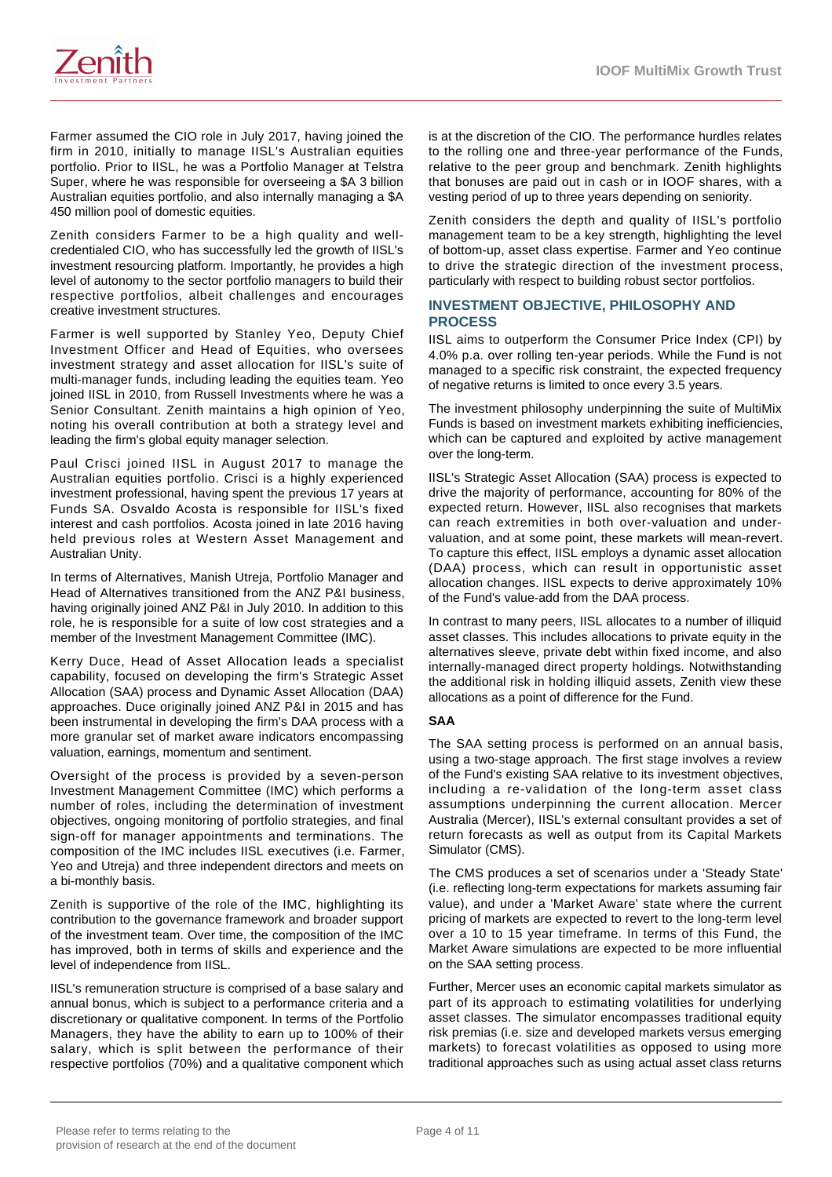

Farmer assumed the CIO role in July 2017, having joined the firm in 2010, initially to manage IISL's Australian equities portfolio. Prior to IISL, he was a Portfolio Manager at Telstra Super, where he was responsible for overseeing a \$A 3 billion Australian equities portfolio, and also internally managing a \$A 450 million pool of domestic equities.

Zenith considers Farmer to be a high quality and wellcredentialed CIO, who has successfully led the growth of IISL's investment resourcing platform. Importantly, he provides a high level of autonomy to the sector portfolio managers to build their respective portfolios, albeit challenges and encourages creative investment structures.

Farmer is well supported by Stanley Yeo, Deputy Chief Investment Officer and Head of Equities, who oversees investment strategy and asset allocation for IISL's suite of multi-manager funds, including leading the equities team. Yeo joined IISL in 2010, from Russell Investments where he was a Senior Consultant. Zenith maintains a high opinion of Yeo, noting his overall contribution at both a strategy level and leading the firm's global equity manager selection.

Paul Crisci joined IISL in August 2017 to manage the Australian equities portfolio. Crisci is a highly experienced investment professional, having spent the previous 17 years at Funds SA. Osvaldo Acosta is responsible for IISL's fixed interest and cash portfolios. Acosta joined in late 2016 having held previous roles at Western Asset Management and Australian Unity.

In terms of Alternatives, Manish Utreja, Portfolio Manager and Head of Alternatives transitioned from the ANZ P&I business, having originally joined ANZ P&I in July 2010. In addition to this role, he is responsible for a suite of low cost strategies and a member of the Investment Management Committee (IMC).

Kerry Duce, Head of Asset Allocation leads a specialist capability, focused on developing the firm's Strategic Asset Allocation (SAA) process and Dynamic Asset Allocation (DAA) approaches. Duce originally joined ANZ P&I in 2015 and has been instrumental in developing the firm's DAA process with a more granular set of market aware indicators encompassing valuation, earnings, momentum and sentiment.

Oversight of the process is provided by a seven-person Investment Management Committee (IMC) which performs a number of roles, including the determination of investment objectives, ongoing monitoring of portfolio strategies, and final sign-off for manager appointments and terminations. The composition of the IMC includes IISL executives (i.e. Farmer, Yeo and Utreja) and three independent directors and meets on a bi-monthly basis.

Zenith is supportive of the role of the IMC, highlighting its contribution to the governance framework and broader support of the investment team. Over time, the composition of the IMC has improved, both in terms of skills and experience and the level of independence from IISL.

IISL's remuneration structure is comprised of a base salary and annual bonus, which is subject to a performance criteria and a discretionary or qualitative component. In terms of the Portfolio Managers, they have the ability to earn up to 100% of their salary, which is split between the performance of their respective portfolios (70%) and a qualitative component which is at the discretion of the CIO. The performance hurdles relates to the rolling one and three-year performance of the Funds, relative to the peer group and benchmark. Zenith highlights that bonuses are paid out in cash or in IOOF shares, with a vesting period of up to three years depending on seniority.

Zenith considers the depth and quality of IISL's portfolio management team to be a key strength, highlighting the level of bottom-up, asset class expertise. Farmer and Yeo continue to drive the strategic direction of the investment process, particularly with respect to building robust sector portfolios.

# **INVESTMENT OBJECTIVE, PHILOSOPHY AND PROCESS**

IISL aims to outperform the Consumer Price Index (CPI) by 4.0% p.a. over rolling ten-year periods. While the Fund is not managed to a specific risk constraint, the expected frequency of negative returns is limited to once every 3.5 years.

The investment philosophy underpinning the suite of MultiMix Funds is based on investment markets exhibiting inefficiencies, which can be captured and exploited by active management over the long-term.

IISL's Strategic Asset Allocation (SAA) process is expected to drive the majority of performance, accounting for 80% of the expected return. However, IISL also recognises that markets can reach extremities in both over-valuation and undervaluation, and at some point, these markets will mean-revert. To capture this effect, IISL employs a dynamic asset allocation (DAA) process, which can result in opportunistic asset allocation changes. IISL expects to derive approximately 10% of the Fund's value-add from the DAA process.

In contrast to many peers, IISL allocates to a number of illiquid asset classes. This includes allocations to private equity in the alternatives sleeve, private debt within fixed income, and also internally-managed direct property holdings. Notwithstanding the additional risk in holding illiquid assets, Zenith view these allocations as a point of difference for the Fund.

# **SAA**

The SAA setting process is performed on an annual basis, using a two-stage approach. The first stage involves a review of the Fund's existing SAA relative to its investment objectives, including a re-validation of the long-term asset class assumptions underpinning the current allocation. Mercer Australia (Mercer), IISL's external consultant provides a set of return forecasts as well as output from its Capital Markets Simulator (CMS).

The CMS produces a set of scenarios under a 'Steady State' (i.e. reflecting long-term expectations for markets assuming fair value), and under a 'Market Aware' state where the current pricing of markets are expected to revert to the long-term level over a 10 to 15 year timeframe. In terms of this Fund, the Market Aware simulations are expected to be more influential on the SAA setting process.

Further, Mercer uses an economic capital markets simulator as part of its approach to estimating volatilities for underlying asset classes. The simulator encompasses traditional equity risk premias (i.e. size and developed markets versus emerging markets) to forecast volatilities as opposed to using more traditional approaches such as using actual asset class returns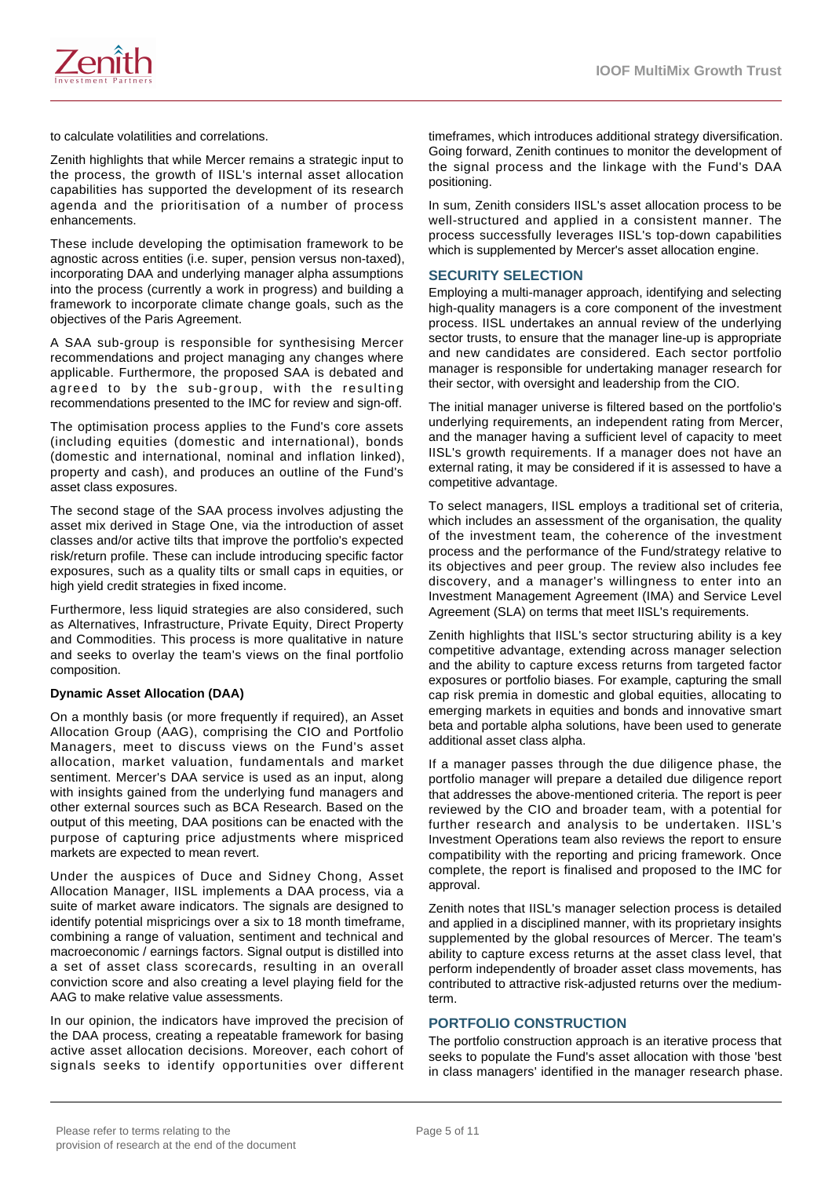

to calculate volatilities and correlations.

Zenith highlights that while Mercer remains a strategic input to the process, the growth of IISL's internal asset allocation capabilities has supported the development of its research agenda and the prioritisation of a number of process enhancements.

These include developing the optimisation framework to be agnostic across entities (i.e. super, pension versus non-taxed), incorporating DAA and underlying manager alpha assumptions into the process (currently a work in progress) and building a framework to incorporate climate change goals, such as the objectives of the Paris Agreement.

A SAA sub-group is responsible for synthesising Mercer recommendations and project managing any changes where applicable. Furthermore, the proposed SAA is debated and agreed to by the sub-group, with the resulting recommendations presented to the IMC for review and sign-off.

The optimisation process applies to the Fund's core assets (including equities (domestic and international), bonds (domestic and international, nominal and inflation linked), property and cash), and produces an outline of the Fund's asset class exposures.

The second stage of the SAA process involves adjusting the asset mix derived in Stage One, via the introduction of asset classes and/or active tilts that improve the portfolio's expected risk/return profile. These can include introducing specific factor exposures, such as a quality tilts or small caps in equities, or high yield credit strategies in fixed income.

Furthermore, less liquid strategies are also considered, such as Alternatives, Infrastructure, Private Equity, Direct Property and Commodities. This process is more qualitative in nature and seeks to overlay the team's views on the final portfolio composition.

#### **Dynamic Asset Allocation (DAA)**

On a monthly basis (or more frequently if required), an Asset Allocation Group (AAG), comprising the CIO and Portfolio Managers, meet to discuss views on the Fund's asset allocation, market valuation, fundamentals and market sentiment. Mercer's DAA service is used as an input, along with insights gained from the underlying fund managers and other external sources such as BCA Research. Based on the output of this meeting, DAA positions can be enacted with the purpose of capturing price adjustments where mispriced markets are expected to mean revert.

Under the auspices of Duce and Sidney Chong, Asset Allocation Manager, IISL implements a DAA process, via a suite of market aware indicators. The signals are designed to identify potential mispricings over a six to 18 month timeframe, combining a range of valuation, sentiment and technical and macroeconomic / earnings factors. Signal output is distilled into a set of asset class scorecards, resulting in an overall conviction score and also creating a level playing field for the AAG to make relative value assessments.

In our opinion, the indicators have improved the precision of the DAA process, creating a repeatable framework for basing active asset allocation decisions. Moreover, each cohort of signals seeks to identify opportunities over different

timeframes, which introduces additional strategy diversification. Going forward, Zenith continues to monitor the development of the signal process and the linkage with the Fund's DAA positioning.

In sum, Zenith considers IISL's asset allocation process to be well-structured and applied in a consistent manner. The process successfully leverages IISL's top-down capabilities which is supplemented by Mercer's asset allocation engine.

#### **SECURITY SELECTION**

Employing a multi-manager approach, identifying and selecting high-quality managers is a core component of the investment process. IISL undertakes an annual review of the underlying sector trusts, to ensure that the manager line-up is appropriate and new candidates are considered. Each sector portfolio manager is responsible for undertaking manager research for their sector, with oversight and leadership from the CIO.

The initial manager universe is filtered based on the portfolio's underlying requirements, an independent rating from Mercer, and the manager having a sufficient level of capacity to meet IISL's growth requirements. If a manager does not have an external rating, it may be considered if it is assessed to have a competitive advantage.

To select managers, IISL employs a traditional set of criteria, which includes an assessment of the organisation, the quality of the investment team, the coherence of the investment process and the performance of the Fund/strategy relative to its objectives and peer group. The review also includes fee discovery, and a manager's willingness to enter into an Investment Management Agreement (IMA) and Service Level Agreement (SLA) on terms that meet IISL's requirements.

Zenith highlights that IISL's sector structuring ability is a key competitive advantage, extending across manager selection and the ability to capture excess returns from targeted factor exposures or portfolio biases. For example, capturing the small cap risk premia in domestic and global equities, allocating to emerging markets in equities and bonds and innovative smart beta and portable alpha solutions, have been used to generate additional asset class alpha.

If a manager passes through the due diligence phase, the portfolio manager will prepare a detailed due diligence report that addresses the above-mentioned criteria. The report is peer reviewed by the CIO and broader team, with a potential for further research and analysis to be undertaken. IISL's Investment Operations team also reviews the report to ensure compatibility with the reporting and pricing framework. Once complete, the report is finalised and proposed to the IMC for approval.

Zenith notes that IISL's manager selection process is detailed and applied in a disciplined manner, with its proprietary insights supplemented by the global resources of Mercer. The team's ability to capture excess returns at the asset class level, that perform independently of broader asset class movements, has contributed to attractive risk-adjusted returns over the mediumterm.

#### **PORTFOLIO CONSTRUCTION**

The portfolio construction approach is an iterative process that seeks to populate the Fund's asset allocation with those 'best in class managers' identified in the manager research phase.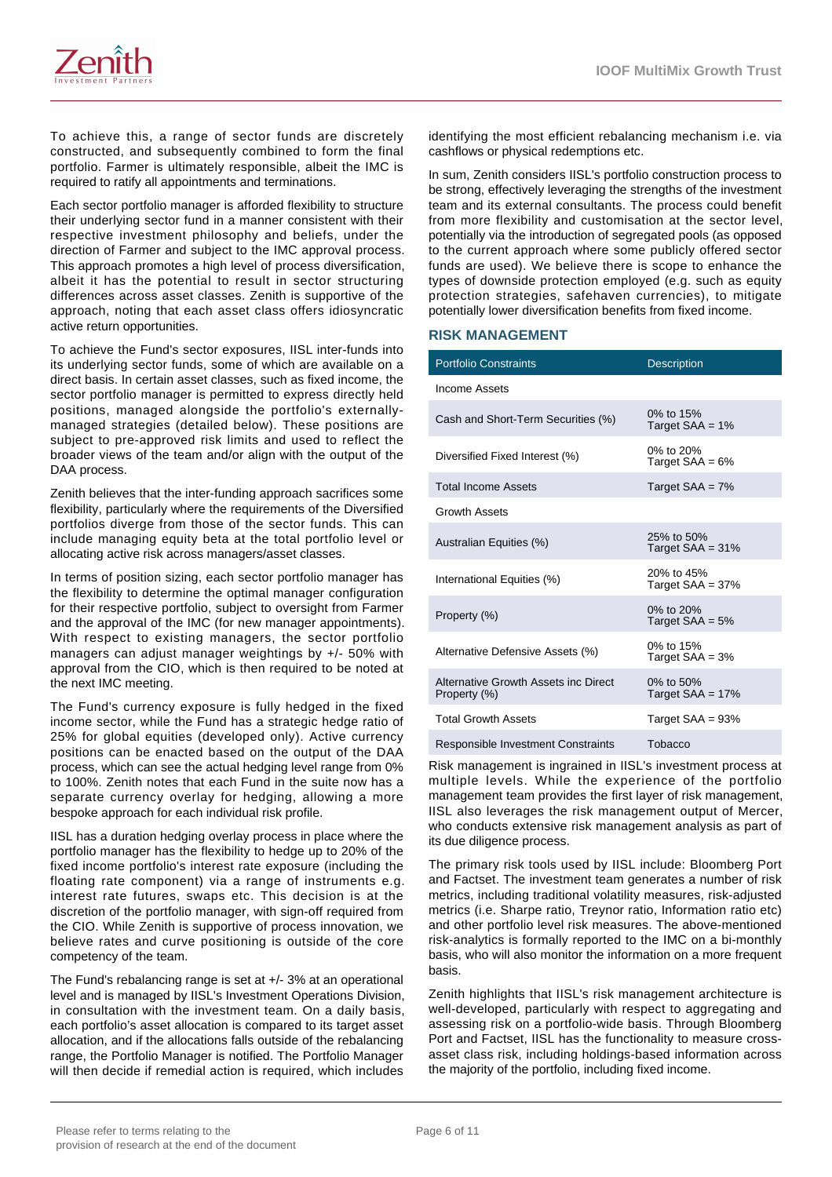

To achieve this, a range of sector funds are discretely constructed, and subsequently combined to form the final portfolio. Farmer is ultimately responsible, albeit the IMC is required to ratify all appointments and terminations.

Each sector portfolio manager is afforded flexibility to structure their underlying sector fund in a manner consistent with their respective investment philosophy and beliefs, under the direction of Farmer and subject to the IMC approval process. This approach promotes a high level of process diversification, albeit it has the potential to result in sector structuring differences across asset classes. Zenith is supportive of the approach, noting that each asset class offers idiosyncratic active return opportunities.

To achieve the Fund's sector exposures, IISL inter-funds into its underlying sector funds, some of which are available on a direct basis. In certain asset classes, such as fixed income, the sector portfolio manager is permitted to express directly held positions, managed alongside the portfolio's externallymanaged strategies (detailed below). These positions are subject to pre-approved risk limits and used to reflect the broader views of the team and/or align with the output of the DAA process.

Zenith believes that the inter-funding approach sacrifices some flexibility, particularly where the requirements of the Diversified portfolios diverge from those of the sector funds. This can include managing equity beta at the total portfolio level or allocating active risk across managers/asset classes.

In terms of position sizing, each sector portfolio manager has the flexibility to determine the optimal manager configuration for their respective portfolio, subject to oversight from Farmer and the approval of the IMC (for new manager appointments). With respect to existing managers, the sector portfolio managers can adjust manager weightings by +/- 50% with approval from the CIO, which is then required to be noted at the next IMC meeting.

The Fund's currency exposure is fully hedged in the fixed income sector, while the Fund has a strategic hedge ratio of 25% for global equities (developed only). Active currency positions can be enacted based on the output of the DAA process, which can see the actual hedging level range from 0% to 100%. Zenith notes that each Fund in the suite now has a separate currency overlay for hedging, allowing a more bespoke approach for each individual risk profile.

IISL has a duration hedging overlay process in place where the portfolio manager has the flexibility to hedge up to 20% of the fixed income portfolio's interest rate exposure (including the floating rate component) via a range of instruments e.g. interest rate futures, swaps etc. This decision is at the discretion of the portfolio manager, with sign-off required from the CIO. While Zenith is supportive of process innovation, we believe rates and curve positioning is outside of the core competency of the team.

The Fund's rebalancing range is set at +/- 3% at an operational level and is managed by IISL's Investment Operations Division, in consultation with the investment team. On a daily basis, each portfolio's asset allocation is compared to its target asset allocation, and if the allocations falls outside of the rebalancing range, the Portfolio Manager is notified. The Portfolio Manager will then decide if remedial action is required, which includes

identifying the most efficient rebalancing mechanism i.e. via cashflows or physical redemptions etc.

In sum, Zenith considers IISL's portfolio construction process to be strong, effectively leveraging the strengths of the investment team and its external consultants. The process could benefit from more flexibility and customisation at the sector level, potentially via the introduction of segregated pools (as opposed to the current approach where some publicly offered sector funds are used). We believe there is scope to enhance the types of downside protection employed (e.g. such as equity protection strategies, safehaven currencies), to mitigate potentially lower diversification benefits from fixed income.

## **RISK MANAGEMENT**

| <b>Portfolio Constraints</b>                         | <b>Description</b>                   |
|------------------------------------------------------|--------------------------------------|
| Income Assets                                        |                                      |
| Cash and Short-Term Securities (%)                   | 0% to 15%<br>Target $SAA = 1%$       |
| Diversified Fixed Interest (%)                       | $0\%$ to $20\%$<br>Target $SAA = 6%$ |
| <b>Total Income Assets</b>                           | Target $SAA = 7\%$                   |
| <b>Growth Assets</b>                                 |                                      |
| Australian Equities (%)                              | 25% to 50%<br>Target $SAA = 31\%$    |
| International Equities (%)                           | 20% to 45%<br>Target $SAA = 37%$     |
| Property (%)                                         | 0% to $20%$<br>Target $SAA = 5%$     |
| Alternative Defensive Assets (%)                     | 0% to 15%<br>Target $SAA = 3%$       |
| Alternative Growth Assets inc Direct<br>Property (%) | 0% to $50%$<br>Target $SAA = 17%$    |
| <b>Total Growth Assets</b>                           | Target $SAA = 93%$                   |
| Responsible Investment Constraints                   | Tobacco                              |

Risk management is ingrained in IISL's investment process at multiple levels. While the experience of the portfolio management team provides the first layer of risk management, IISL also leverages the risk management output of Mercer, who conducts extensive risk management analysis as part of its due diligence process.

The primary risk tools used by IISL include: Bloomberg Port and Factset. The investment team generates a number of risk metrics, including traditional volatility measures, risk-adjusted metrics (i.e. Sharpe ratio, Treynor ratio, Information ratio etc) and other portfolio level risk measures. The above-mentioned risk-analytics is formally reported to the IMC on a bi-monthly basis, who will also monitor the information on a more frequent basis.

Zenith highlights that IISL's risk management architecture is well-developed, particularly with respect to aggregating and assessing risk on a portfolio-wide basis. Through Bloomberg Port and Factset, IISL has the functionality to measure crossasset class risk, including holdings-based information across the majority of the portfolio, including fixed income.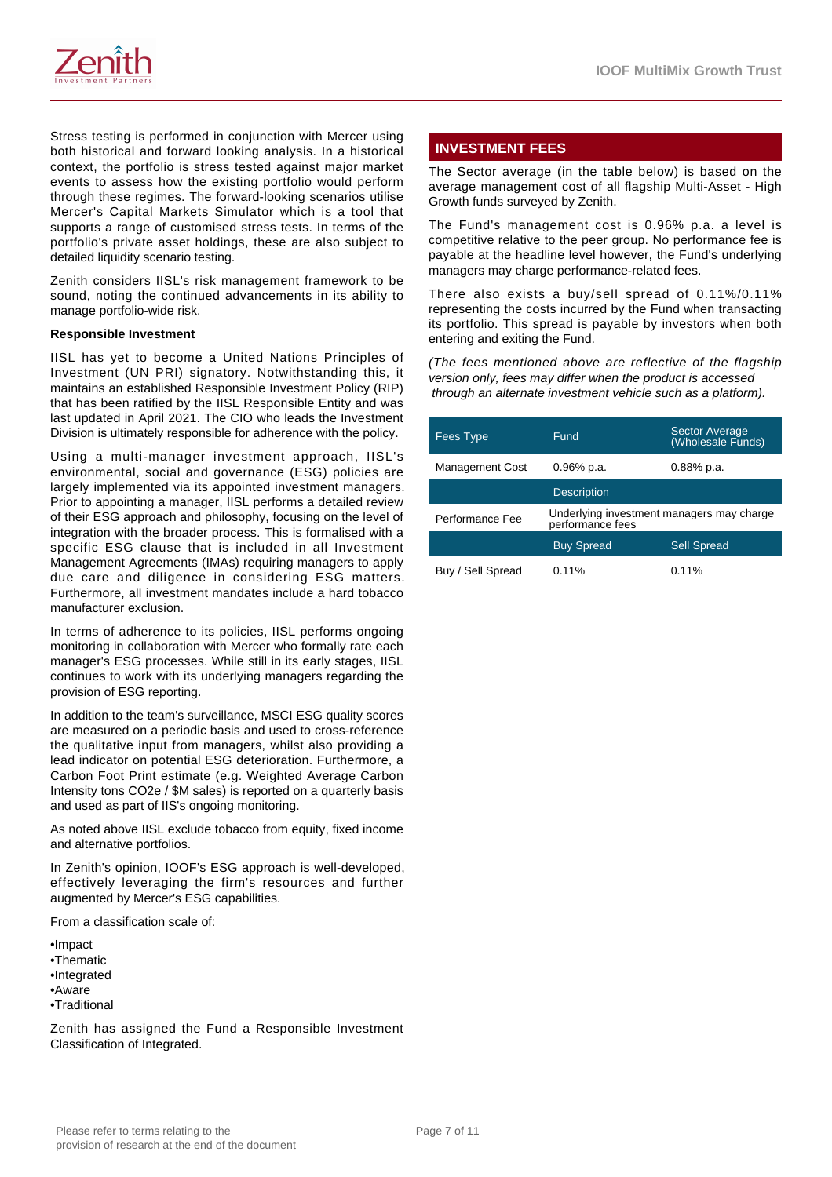

Stress testing is performed in conjunction with Mercer using both historical and forward looking analysis. In a historical context, the portfolio is stress tested against major market events to assess how the existing portfolio would perform through these regimes. The forward-looking scenarios utilise Mercer's Capital Markets Simulator which is a tool that supports a range of customised stress tests. In terms of the portfolio's private asset holdings, these are also subject to detailed liquidity scenario testing.

Zenith considers IISL's risk management framework to be sound, noting the continued advancements in its ability to manage portfolio-wide risk.

#### **Responsible Investment**

IISL has yet to become a United Nations Principles of Investment (UN PRI) signatory. Notwithstanding this, it maintains an established Responsible Investment Policy (RIP) that has been ratified by the IISL Responsible Entity and was last updated in April 2021. The CIO who leads the Investment Division is ultimately responsible for adherence with the policy.

Using a multi-manager investment approach, IISL's environmental, social and governance (ESG) policies are largely implemented via its appointed investment managers. Prior to appointing a manager, IISL performs a detailed review of their ESG approach and philosophy, focusing on the level of integration with the broader process. This is formalised with a specific ESG clause that is included in all Investment Management Agreements (IMAs) requiring managers to apply due care and diligence in considering ESG matters. Furthermore, all investment mandates include a hard tobacco manufacturer exclusion.

In terms of adherence to its policies, IISL performs ongoing monitoring in collaboration with Mercer who formally rate each manager's ESG processes. While still in its early stages, IISL continues to work with its underlying managers regarding the provision of ESG reporting.

In addition to the team's surveillance, MSCI ESG quality scores are measured on a periodic basis and used to cross-reference the qualitative input from managers, whilst also providing a lead indicator on potential ESG deterioration. Furthermore, a Carbon Foot Print estimate (e.g. Weighted Average Carbon Intensity tons CO2e / \$M sales) is reported on a quarterly basis and used as part of IIS's ongoing monitoring.

As noted above IISL exclude tobacco from equity, fixed income and alternative portfolios.

In Zenith's opinion, IOOF's ESG approach is well-developed, effectively leveraging the firm's resources and further augmented by Mercer's ESG capabilities.

From a classification scale of:

•Impact •Thematic •Integrated •Aware •Traditional

Zenith has assigned the Fund a Responsible Investment Classification of Integrated.

# **INVESTMENT FEES**

The Sector average (in the table below) is based on the average management cost of all flagship Multi-Asset - High Growth funds surveyed by Zenith.

The Fund's management cost is 0.96% p.a. a level is competitive relative to the peer group. No performance fee is payable at the headline level however, the Fund's underlying managers may charge performance-related fees.

There also exists a buy/sell spread of 0.11%/0.11% representing the costs incurred by the Fund when transacting its portfolio. This spread is payable by investors when both entering and exiting the Fund.

(The fees mentioned above are reflective of the flagship version only, fees may differ when the product is accessed through an alternate investment vehicle such as a platform).

| <b>Fees Type</b>       | Fund               | Sector Average<br>(Wholesale Funds)       |
|------------------------|--------------------|-------------------------------------------|
| <b>Management Cost</b> | $0.96\%$ p.a.      | $0.88%$ p.a.                              |
|                        | <b>Description</b> |                                           |
| Performance Fee        | performance fees   | Underlying investment managers may charge |
|                        | <b>Buy Spread</b>  | <b>Sell Spread</b>                        |
| Buy / Sell Spread      | 0.11%              | 0.11%                                     |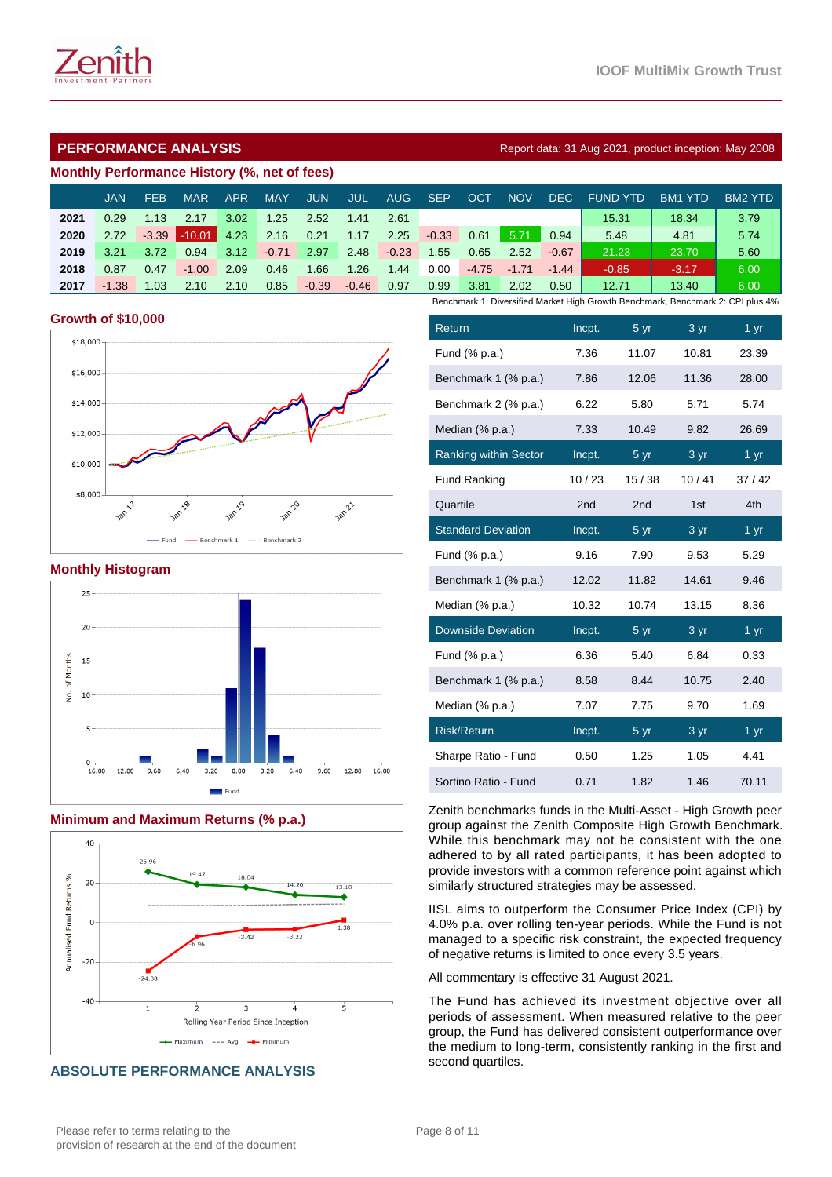# **PERFORMANCE ANALYSIS Report data: 31 Aug 2021, product inception: May 2008**

#### **Monthly Performance History (%, net of fees)**

|      | JAN     | <b>FEB</b> | <b>MAR</b> | APR  | <b>MAY</b> | <b>JUN</b> | JUL     | AUG     | <b>SEP</b> | OCT     | <b>NOV</b> | DEC.    | <b>FUND YTD</b>                                                                 | <b>BM1 YTD</b> | <b>BM2 YTD</b> |
|------|---------|------------|------------|------|------------|------------|---------|---------|------------|---------|------------|---------|---------------------------------------------------------------------------------|----------------|----------------|
| 2021 | 0.29    | 1.13       | 2.17       | 3.02 | 1.25       | 2.52       | 1.41    | 2.61    |            |         |            |         | 15.31                                                                           | 18.34          | 3.79           |
| 2020 | 2.72    | $-3.39$    | $-10.01$   | 4.23 | 2.16       | 0.21       | 1.17    | 2.25    | $-0.33$    | 0.61    | 5.71       | 0.94    | 5.48                                                                            | 4.81           | 5.74           |
| 2019 | 3.21    | 3.72       | 0.94       | 3.12 | $-0.71$    | 2.97       | 2.48    | $-0.23$ | 1.55       | 0.65    | 2.52       | $-0.67$ | 21.23                                                                           | 23.70          | 5.60           |
| 2018 | 0.87    | 0.47       | $-1.00$    | 2.09 | 0.46       | .66        | 1.26    | 1.44    | 0.00       | $-4.75$ | $-1.71$    | $-1.44$ | $-0.85$                                                                         | $-3.17$        | 6.00           |
| 2017 | $-1.38$ | 1.03       | 2.10       | 2.10 | 0.85       | $-0.39$    | $-0.46$ | 0.97    | 0.99       | 3.81    | 2.02       | 0.50    | 12.71                                                                           | 13.40          | 6.00           |
|      |         |            |            |      |            |            |         |         |            |         |            |         | Benchmark 1: Diversified Market High Growth Benchmark, Benchmark 2: CPI plus 4% |                |                |

## **Growth of \$10,000**



## **Monthly Histogram**



# **Minimum and Maximum Returns (% p.a.)**



# **ABSOLUTE PERFORMANCE ANALYSIS**

| Return                       | Incpt. | 5 yr             | $3 \, yr$ | $1 \,\mathrm{yr}$ |
|------------------------------|--------|------------------|-----------|-------------------|
| Fund (% p.a.)                | 7.36   | 11.07            | 10.81     | 23.39             |
| Benchmark 1 (% p.a.)         | 7.86   | 12.06            | 11.36     | 28.00             |
| Benchmark 2 (% p.a.)         | 6.22   | 5.80             | 5.71      | 5.74              |
| Median (% p.a.)              | 7.33   | 10.49            | 9.82      | 26.69             |
| <b>Ranking within Sector</b> | Incpt. | $\frac{5}{ }$ yr | 3 yr      | 1 yr              |
| <b>Fund Ranking</b>          | 10/23  | 15/38            | 10/41     | 37/42             |
| Quartile                     | 2nd    | 2 <sub>nd</sub>  | 1st       | 4th               |
| <b>Standard Deviation</b>    | Incpt. | 5 yr             | 3 yr      | 1 yr              |
| Fund (% p.a.)                | 9.16   | 7.90             | 9.53      | 5.29              |
| Benchmark 1 (% p.a.)         | 12.02  | 11.82            | 14.61     | 9.46              |
| Median (% p.a.)              | 10.32  | 10.74            | 13.15     | 8.36              |
| <b>Downside Deviation</b>    | Incpt. | 5 yr             | 3 yr      | $1 \overline{yr}$ |
| Fund (% p.a.)                | 6.36   | 5.40             | 6.84      | 0.33              |
| Benchmark 1 (% p.a.)         | 8.58   | 8.44             | 10.75     | 2.40              |
| Median (% p.a.)              | 7.07   | 7.75             | 9.70      | 1.69              |
| <b>Risk/Return</b>           | Incpt. | 5 yr             | 3 yr      | 1 yr              |
| Sharpe Ratio - Fund          | 0.50   | 1.25             | 1.05      | 4.41              |
| Sortino Ratio - Fund         | 0.71   | 1.82             | 1.46      | 70.11             |

Zenith benchmarks funds in the Multi-Asset - High Growth peer group against the Zenith Composite High Growth Benchmark. While this benchmark may not be consistent with the one adhered to by all rated participants, it has been adopted to provide investors with a common reference point against which similarly structured strategies may be assessed.

IISL aims to outperform the Consumer Price Index (CPI) by 4.0% p.a. over rolling ten-year periods. While the Fund is not managed to a specific risk constraint, the expected frequency of negative returns is limited to once every 3.5 years.

All commentary is effective 31 August 2021.

The Fund has achieved its investment objective over all periods of assessment. When measured relative to the peer group, the Fund has delivered consistent outperformance over the medium to long-term, consistently ranking in the first and second quartiles.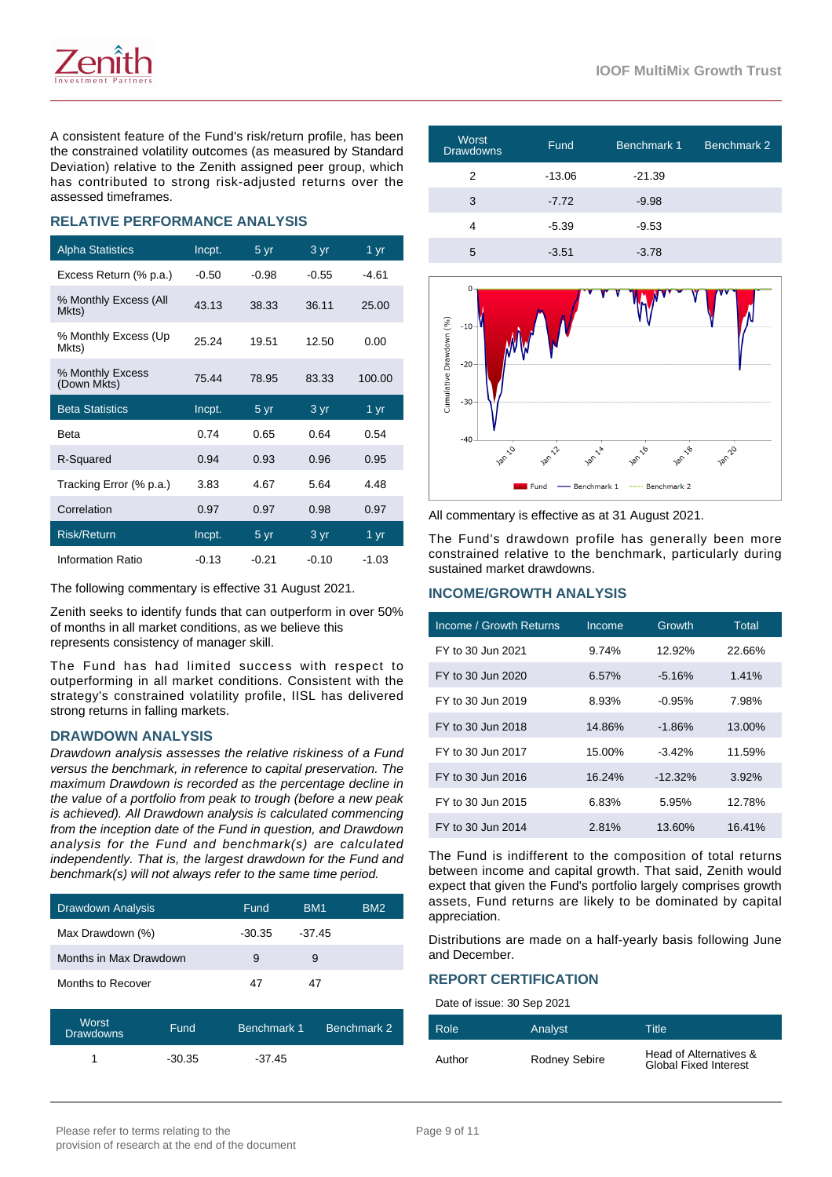A consistent feature of the Fund's risk/return profile, has been the constrained volatility outcomes (as measured by Standard Deviation) relative to the Zenith assigned peer group, which has contributed to strong risk-adjusted returns over the assessed timeframes.

# **RELATIVE PERFORMANCE ANALYSIS**

| <b>Alpha Statistics</b>         | Incpt.  | 5yr                      | 3 yr    | 1 yr              |
|---------------------------------|---------|--------------------------|---------|-------------------|
| Excess Return (% p.a.)          | $-0.50$ | -0.98                    | $-0.55$ | -4.61             |
| % Monthly Excess (All<br>Mkts)  | 43.13   | 38.33                    | 36.11   | 25.00             |
| % Monthly Excess (Up<br>Mkts)   | 25.24   | 19.51                    | 12.50   | 0.00              |
| % Monthly Excess<br>(Down Mkts) | 75.44   | 78.95                    | 83.33   | 100.00            |
|                                 |         |                          |         |                   |
| <b>Beta Statistics</b>          | Incpt.  | 5 yr                     | 3 yr    | $1 \overline{yr}$ |
| Beta                            | 0.74    | 0.65                     | 0.64    | 0.54              |
| R-Squared                       | 0.94    | 0.93                     | 0.96    | 0.95              |
| Tracking Error (% p.a.)         | 3.83    | 4.67                     | 5.64    | 4.48              |
| Correlation                     | 0.97    | 0.97                     | 0.98    | 0.97              |
| <b>Risk/Return</b>              | Incpt.  | $5 \overline{\text{yr}}$ | 3 yr    | 1 yr              |

The following commentary is effective 31 August 2021.

Zenith seeks to identify funds that can outperform in over 50% of months in all market conditions, as we believe this represents consistency of manager skill.

The Fund has had limited success with respect to outperforming in all market conditions. Consistent with the strategy's constrained volatility profile, IISL has delivered strong returns in falling markets.

# **DRAWDOWN ANALYSIS**

Drawdown analysis assesses the relative riskiness of a Fund versus the benchmark, in reference to capital preservation. The maximum Drawdown is recorded as the percentage decline in the value of a portfolio from peak to trough (before a new peak is achieved). All Drawdown analysis is calculated commencing from the inception date of the Fund in question, and Drawdown analysis for the Fund and benchmark(s) are calculated independently. That is, the largest drawdown for the Fund and benchmark(s) will not always refer to the same time period.

| <b>Drawdown Analysis</b> | <b>Fund</b> | BM <sub>1</sub> | BM2 |
|--------------------------|-------------|-----------------|-----|
| Max Drawdown (%)         | $-30.35$    | $-37.45$        |     |
| Months in Max Drawdown   | 9           | 9               |     |
| Months to Recover        | 47          | 47              |     |

| Worst<br><b>Drawdowns</b> | Fund     | Benchmark 1 | Benchmark 2 |
|---------------------------|----------|-------------|-------------|
|                           | $-30.35$ | $-37.45$    |             |

| <b>Worst</b><br>Drawdowns | Fund     | Benchmark 1 | Benchmark 2 |
|---------------------------|----------|-------------|-------------|
| 2                         | $-13.06$ | $-21.39$    |             |
| 3                         | $-7.72$  | $-9.98$     |             |
| Δ                         | $-5.39$  | $-9.53$     |             |
| 5                         | $-3.51$  | $-3.78$     |             |



All commentary is effective as at 31 August 2021.

The Fund's drawdown profile has generally been more constrained relative to the benchmark, particularly during sustained market drawdowns.

#### **INCOME/GROWTH ANALYSIS**

| Income / Growth Returns | Income   | Growth     | <b>Total</b> |
|-------------------------|----------|------------|--------------|
| FY to 30 Jun 2021       | 9.74%    | 12.92%     | 22.66%       |
| FY to 30 Jun 2020       | $6.57\%$ | $-5.16%$   | 1.41%        |
| FY to 30 Jun 2019       | 8.93%    | $-0.95\%$  | 7.98%        |
| FY to 30 Jun 2018       | 14.86%   | $-1.86%$   | 13.00%       |
| FY to 30 Jun 2017       | 15.00%   | $-3.42%$   | 11.59%       |
| FY to 30 Jun 2016       | 16.24%   | $-12.32\%$ | 3.92%        |
| FY to 30 Jun 2015       | 6.83%    | 5.95%      | 12.78%       |
| FY to 30 Jun 2014       | 2.81%    | 13.60%     | 16.41%       |

The Fund is indifferent to the composition of total returns between income and capital growth. That said, Zenith would expect that given the Fund's portfolio largely comprises growth assets, Fund returns are likely to be dominated by capital appreciation.

Distributions are made on a half-yearly basis following June and December.

#### **REPORT CERTIFICATION**

Date of issue: 30 Sep 2021

| Role   | Analyst              | Title                                                  |
|--------|----------------------|--------------------------------------------------------|
| Author | <b>Rodney Sebire</b> | Head of Alternatives &<br><b>Global Fixed Interest</b> |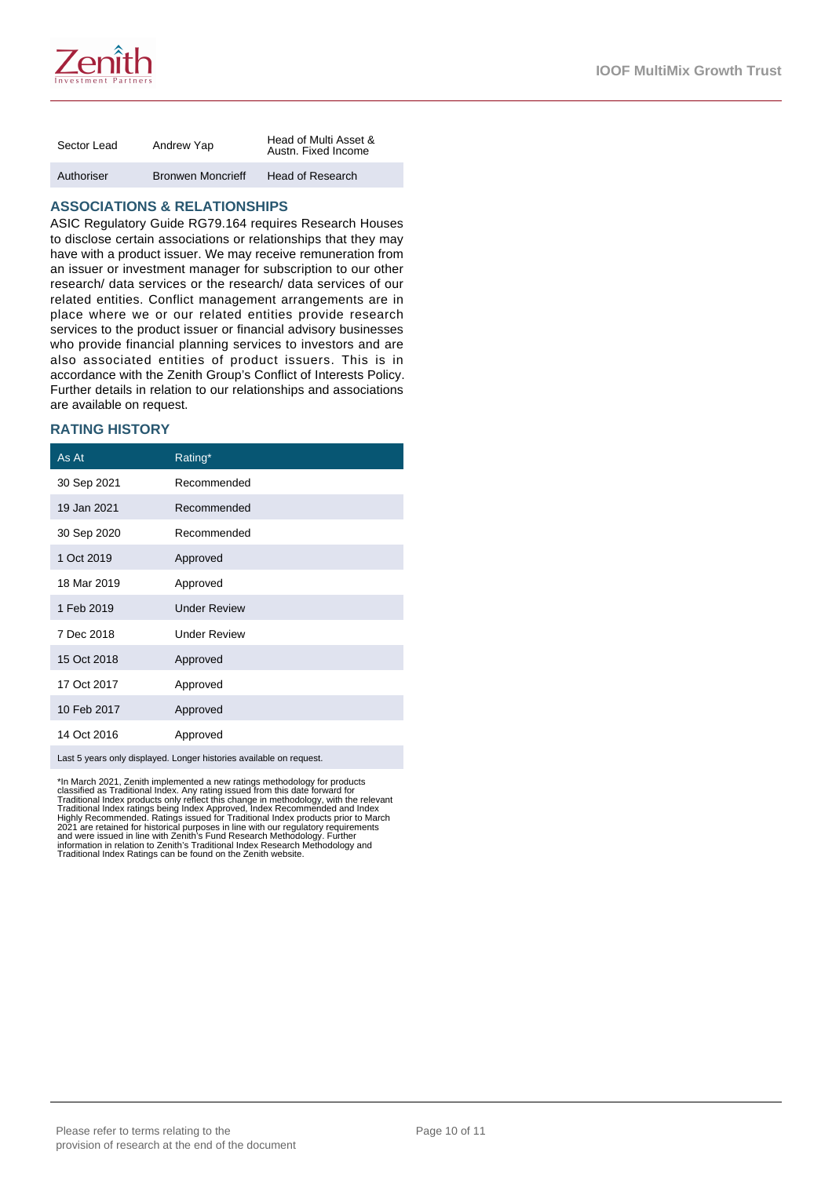

| Sector Lead | Andrew Yap               | Head of Multi Asset &<br>Austn. Fixed Income |
|-------------|--------------------------|----------------------------------------------|
| Authoriser  | <b>Bronwen Moncrieff</b> | Head of Research                             |

# **ASSOCIATIONS & RELATIONSHIPS**

ASIC Regulatory Guide RG79.164 requires Research Houses to disclose certain associations or relationships that they may have with a product issuer. We may receive remuneration from an issuer or investment manager for subscription to our other research/ data services or the research/ data services of our related entities. Conflict management arrangements are in place where we or our related entities provide research services to the product issuer or financial advisory businesses who provide financial planning services to investors and are also associated entities of product issuers. This is in accordance with the Zenith Group's Conflict of Interests Policy. Further details in relation to our relationships and associations are available on request.

# **RATING HISTORY**

| As At       | Rating*             |
|-------------|---------------------|
| 30 Sep 2021 | Recommended         |
| 19 Jan 2021 | Recommended         |
| 30 Sep 2020 | Recommended         |
| 1 Oct 2019  | Approved            |
| 18 Mar 2019 | Approved            |
| 1 Feb 2019  | <b>Under Review</b> |
| 7 Dec 2018  | <b>Under Review</b> |
| 15 Oct 2018 | Approved            |
| 17 Oct 2017 | Approved            |
| 10 Feb 2017 | Approved            |
| 14 Oct 2016 | Approved            |
|             |                     |

Last 5 years only displayed. Longer histories available on request.

\*In March 2021, Zenith implemented a new ratings methodology for products<br>classified as Traditional Index. Any rating issued from this date forward for<br>Traditional Index ratings being Index Approved, Index Recommended and Traditional Index Ratings can be found on the Zenith website.